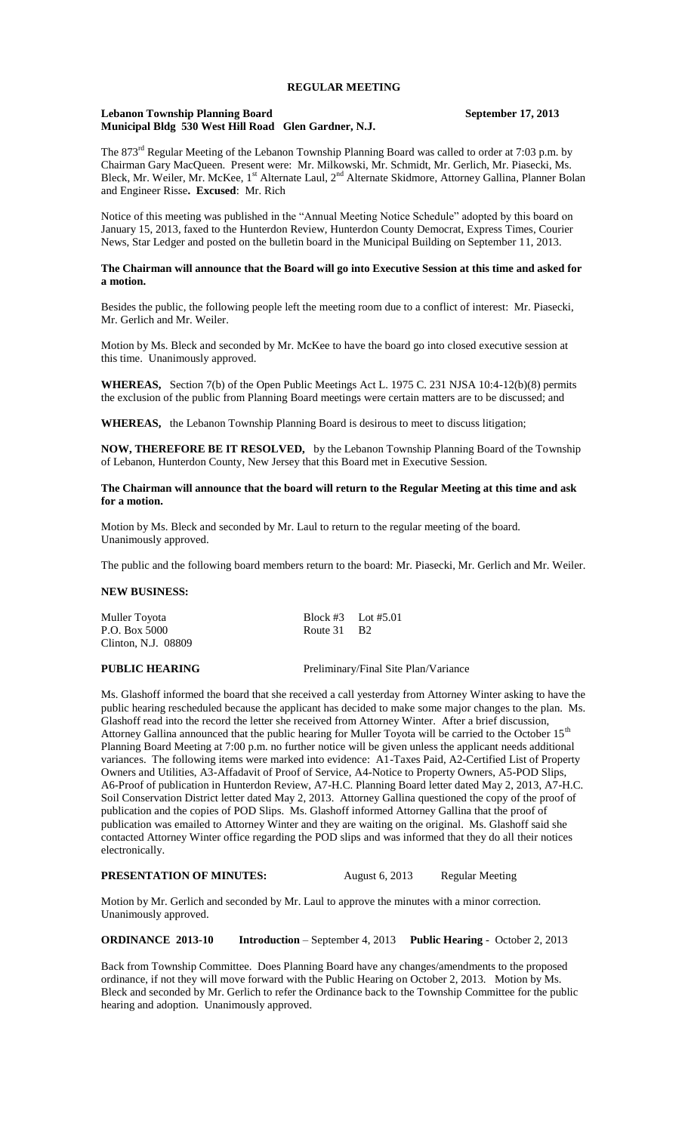## **Lebanon Township Planning Board September 17, 2013 Municipal Bldg 530 West Hill Road Glen Gardner, N.J.**

The 873<sup>rd</sup> Regular Meeting of the Lebanon Township Planning Board was called to order at 7:03 p.m. by Chairman Gary MacQueen. Present were: Mr. Milkowski, Mr. Schmidt, Mr. Gerlich, Mr. Piasecki, Ms. Bleck, Mr. Weiler, Mr. McKee, 1<sup>st</sup> Alternate Laul, 2<sup>nd</sup> Alternate Skidmore, Attorney Gallina, Planner Bolan and Engineer Risse**. Excused**: Mr. Rich

Notice of this meeting was published in the "Annual Meeting Notice Schedule" adopted by this board on January 15, 2013, faxed to the Hunterdon Review, Hunterdon County Democrat, Express Times, Courier News, Star Ledger and posted on the bulletin board in the Municipal Building on September 11, 2013.

## **The Chairman will announce that the Board will go into Executive Session at this time and asked for a motion.**

Besides the public, the following people left the meeting room due to a conflict of interest: Mr. Piasecki, Mr. Gerlich and Mr. Weiler.

Motion by Ms. Bleck and seconded by Mr. McKee to have the board go into closed executive session at this time. Unanimously approved.

**WHEREAS,** Section 7(b) of the Open Public Meetings Act L. 1975 C. 231 NJSA 10:4-12(b)(8) permits the exclusion of the public from Planning Board meetings were certain matters are to be discussed; and

**WHEREAS,** the Lebanon Township Planning Board is desirous to meet to discuss litigation;

**NOW, THEREFORE BE IT RESOLVED,** by the Lebanon Township Planning Board of the Township of Lebanon, Hunterdon County, New Jersey that this Board met in Executive Session.

**The Chairman will announce that the board will return to the Regular Meeting at this time and ask for a motion.**

Motion by Ms. Bleck and seconded by Mr. Laul to return to the regular meeting of the board. Unanimously approved.

The public and the following board members return to the board: Mr. Piasecki, Mr. Gerlich and Mr. Weiler.

# **NEW BUSINESS:**

| Muller Toyota       | Block #3 Lot #5.01      |  |
|---------------------|-------------------------|--|
| P.O. Box 5000       | Route 31 B <sub>2</sub> |  |
| Clinton, N.J. 08809 |                         |  |

**PUBLIC HEARING** Preliminary/Final Site Plan/Variance

Ms. Glashoff informed the board that she received a call yesterday from Attorney Winter asking to have the public hearing rescheduled because the applicant has decided to make some major changes to the plan. Ms. Glashoff read into the record the letter she received from Attorney Winter. After a brief discussion, Attorney Gallina announced that the public hearing for Muller Toyota will be carried to the October 15<sup>th</sup> Planning Board Meeting at 7:00 p.m. no further notice will be given unless the applicant needs additional variances. The following items were marked into evidence: A1-Taxes Paid, A2-Certified List of Property Owners and Utilities, A3-Affadavit of Proof of Service, A4-Notice to Property Owners, A5-POD Slips, A6-Proof of publication in Hunterdon Review, A7-H.C. Planning Board letter dated May 2, 2013, A7-H.C. Soil Conservation District letter dated May 2, 2013. Attorney Gallina questioned the copy of the proof of publication and the copies of POD Slips. Ms. Glashoff informed Attorney Gallina that the proof of publication was emailed to Attorney Winter and they are waiting on the original. Ms. Glashoff said she contacted Attorney Winter office regarding the POD slips and was informed that they do all their notices electronically.

## **PRESENTATION OF MINUTES:** August 6, 2013 Regular Meeting

Motion by Mr. Gerlich and seconded by Mr. Laul to approve the minutes with a minor correction. Unanimously approved.

**ORDINANCE 2013-10 Introduction** – September 4, 2013 **Public Hearing** - October 2, 2013

Back from Township Committee. Does Planning Board have any changes/amendments to the proposed ordinance, if not they will move forward with the Public Hearing on October 2, 2013. Motion by Ms. Bleck and seconded by Mr. Gerlich to refer the Ordinance back to the Township Committee for the public hearing and adoption. Unanimously approved.